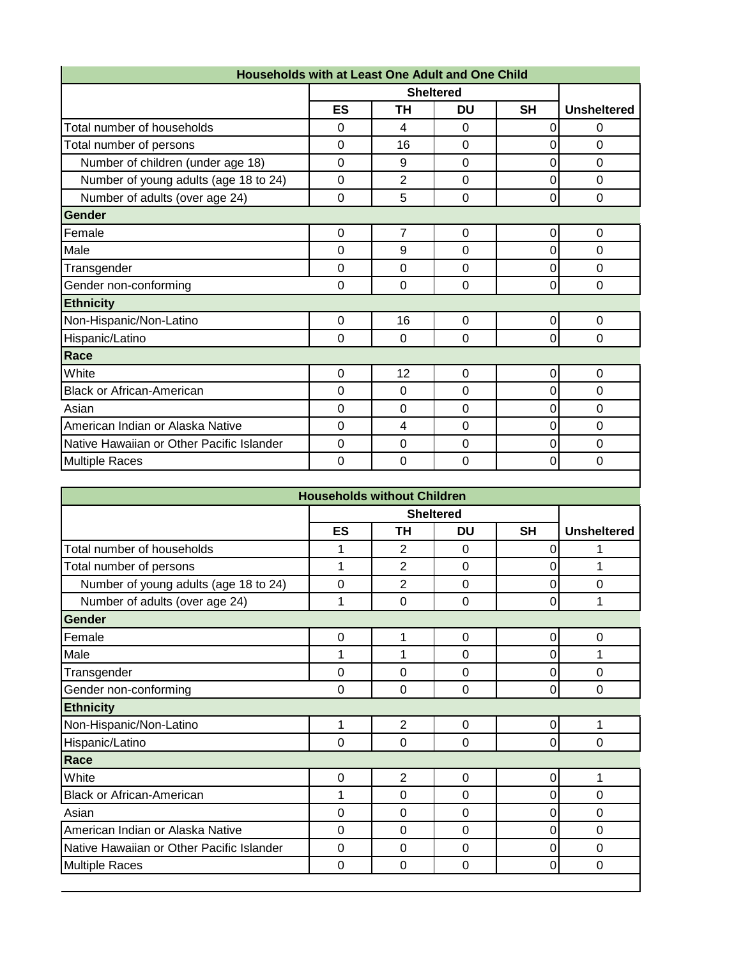|                                           |                |                | <b>Sheltered</b> |             |                    |
|-------------------------------------------|----------------|----------------|------------------|-------------|--------------------|
|                                           | ES             | ΤH             | DU               | <b>SH</b>   | <b>Unsheltered</b> |
| Total number of households                | $\Omega$       | 4              | $\Omega$         | 0           | 0                  |
| Total number of persons                   | $\Omega$       | 16             | $\overline{0}$   | 0           | $\Omega$           |
| Number of children (under age 18)         | $\mathbf 0$    | 9              | $\overline{0}$   | 0           | $\Omega$           |
| Number of young adults (age 18 to 24)     | $\mathbf 0$    | $\overline{2}$ | $\overline{0}$   | 0           | $\overline{0}$     |
| Number of adults (over age 24)            | $\overline{0}$ | 5              | $\overline{0}$   | $\mathbf 0$ | $\mathbf 0$        |
| Gender                                    |                |                |                  |             |                    |
| Female                                    | 0              | $\overline{7}$ | 0                | 0           | 0                  |
| Male                                      | 0              | 9              | 0                | 0           | $\Omega$           |
| Transgender                               | $\Omega$       | $\Omega$       | $\Omega$         | 0           | $\Omega$           |
| Gender non-conforming                     | $\mathbf 0$    | $\Omega$       | 0                | 0           | $\overline{0}$     |
| <b>Ethnicity</b>                          |                |                |                  |             |                    |
| Non-Hispanic/Non-Latino                   | $\Omega$       | 16             | $\Omega$         | 0           | 0                  |
| Hispanic/Latino                           | $\Omega$       | $\Omega$       | $\Omega$         | 0           | $\overline{0}$     |
| Race                                      |                |                |                  |             |                    |
| White                                     | $\mathbf 0$    | 12             | $\mathbf 0$      | $\mathbf 0$ | $\overline{0}$     |
| <b>Black or African-American</b>          | $\mathbf 0$    | $\Omega$       | $\Omega$         | 0           | $\overline{0}$     |
| Asian                                     | $\mathbf 0$    | $\Omega$       | $\overline{0}$   | 0           | $\Omega$           |
| American Indian or Alaska Native          | $\mathbf 0$    | 4              | $\overline{0}$   | 0           | $\Omega$           |
| Native Hawaiian or Other Pacific Islander | $\Omega$       | $\Omega$       | $\Omega$         | 0           | $\overline{0}$     |
| <b>Multiple Races</b>                     | $\mathbf 0$    | $\Omega$       | $\Omega$         | 0           | $\overline{0}$     |

|                                           |    | <b>Households without Children</b> |                  |             |                    |
|-------------------------------------------|----|------------------------------------|------------------|-------------|--------------------|
|                                           |    |                                    | <b>Sheltered</b> |             |                    |
|                                           | ES | <b>TH</b>                          | <b>DU</b>        | <b>SH</b>   | <b>Unsheltered</b> |
| Total number of households                | 1  | $\overline{2}$                     | $\Omega$         | 0           | 1                  |
| Total number of persons                   | 1  | 2                                  | $\Omega$         | 0           | 1                  |
| Number of young adults (age 18 to 24)     | 0  | $\overline{2}$                     | $\mathbf 0$      | 0           | $\overline{0}$     |
| Number of adults (over age 24)            | 1  | $\overline{0}$                     | $\mathbf 0$      | 0           | 1                  |
| <b>Gender</b>                             |    |                                    |                  |             |                    |
| Female                                    | 0  | 1                                  | 0                | 0           | 0                  |
| Male                                      | 1  | 1                                  | $\Omega$         | 0           | 1                  |
| Transgender                               | 0  | 0                                  | $\Omega$         | $\mathbf 0$ | $\mathbf 0$        |
| Gender non-conforming                     | 0  | $\overline{0}$                     | $\mathbf 0$      | 0           | $\overline{0}$     |
| <b>Ethnicity</b>                          |    |                                    |                  |             |                    |
| Non-Hispanic/Non-Latino                   | 1  | $\overline{2}$                     | $\Omega$         | 0           | 1                  |
| Hispanic/Latino                           | 0  | $\mathbf 0$                        | 0                | 0           | $\mathbf 0$        |
| Race                                      |    |                                    |                  |             |                    |
| White                                     | 0  | $\overline{2}$                     | $\Omega$         | 0           | 1                  |
| <b>Black or African-American</b>          | 1  | 0                                  | 0                | 0           | 0                  |
| Asian                                     | 0  | $\overline{0}$                     | $\mathbf 0$      | 0           | $\overline{0}$     |
| American Indian or Alaska Native          | 0  | $\overline{0}$                     | $\Omega$         | 0           | $\Omega$           |
| Native Hawaiian or Other Pacific Islander | 0  | $\Omega$                           | $\overline{0}$   | 0           | $\overline{0}$     |
| <b>Multiple Races</b>                     | 0  | $\Omega$                           | $\Omega$         | 0           | $\Omega$           |
|                                           |    |                                    |                  |             |                    |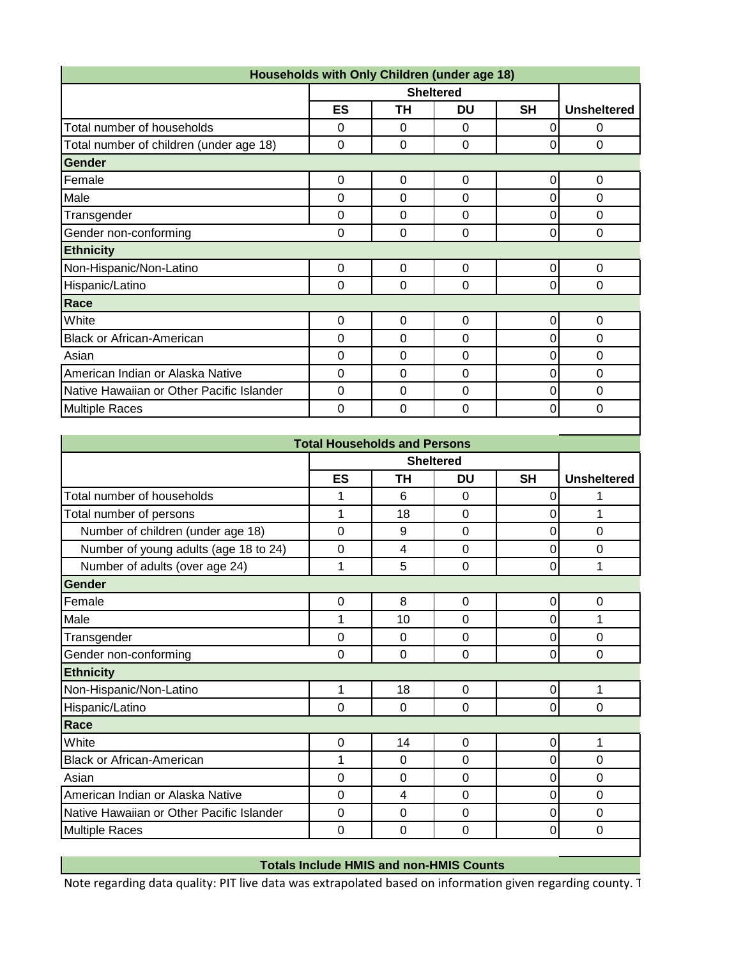|                                           |           |          | Households with Only Children (under age 18) |           |                    |
|-------------------------------------------|-----------|----------|----------------------------------------------|-----------|--------------------|
|                                           |           |          | <b>Sheltered</b>                             |           |                    |
|                                           | <b>ES</b> | ΤH       | <b>DU</b>                                    | <b>SH</b> | <b>Unsheltered</b> |
| Total number of households                | 0         | $\Omega$ | 0                                            | 0         | 0                  |
| Total number of children (under age 18)   | 0         | $\Omega$ | 0                                            | 0         | $\Omega$           |
| <b>Gender</b>                             |           |          |                                              |           |                    |
| Female                                    | 0         | 0        | 0                                            | 0         | 0                  |
| Male                                      | $\Omega$  | $\Omega$ | $\Omega$                                     | 0         | $\Omega$           |
| Transgender                               | 0         | $\Omega$ | $\Omega$                                     | 0         | 0                  |
| Gender non-conforming                     | 0         | 0        | 0                                            | 0         | 0                  |
| <b>Ethnicity</b>                          |           |          |                                              |           |                    |
| Non-Hispanic/Non-Latino                   | 0         | 0        | 0                                            | 0         | 0                  |
| Hispanic/Latino                           | 0         | 0        | 0                                            | $\Omega$  | 0                  |
| Race                                      |           |          |                                              |           |                    |
| White                                     | $\Omega$  | $\Omega$ | $\Omega$                                     | 0         | 0                  |
| <b>Black or African-American</b>          | 0         | 0        | $\overline{0}$                               | 0         | $\mathbf 0$        |
| Asian                                     | 0         | 0        | $\mathbf 0$                                  | 0         | 0                  |
| American Indian or Alaska Native          | $\Omega$  | $\Omega$ | 0                                            | 0         | $\mathbf 0$        |
| Native Hawaiian or Other Pacific Islander | 0         | $\Omega$ | $\Omega$                                     | 0         | $\Omega$           |
| <b>Multiple Races</b>                     | 0         | 0        | 0                                            | 0         | $\Omega$           |

|                                           | <b>Total Households and Persons</b> |             |                  |           |                    |
|-------------------------------------------|-------------------------------------|-------------|------------------|-----------|--------------------|
|                                           |                                     |             | <b>Sheltered</b> |           |                    |
|                                           | <b>ES</b>                           | TН          | DU               | <b>SH</b> | <b>Unsheltered</b> |
| Total number of households                | 1                                   | 6           | $\overline{0}$   | 0         |                    |
| Total number of persons                   | 1                                   | 18          | 0                | 0         | 1                  |
| Number of children (under age 18)         | 0                                   | 9           | 0                | 0         | 0                  |
| Number of young adults (age 18 to 24)     | 0                                   | 4           | 0                | 0         | $\overline{0}$     |
| Number of adults (over age 24)            | 1                                   | 5           | 0                | 0         | 1                  |
| Gender                                    |                                     |             |                  |           |                    |
| Female                                    | 0                                   | 8           | 0                | 0         | 0                  |
| Male                                      | 1                                   | 10          | 0                | 0         | 1                  |
| Transgender                               | 0                                   | $\Omega$    | 0                | 0         | 0                  |
| Gender non-conforming                     | 0                                   | $\mathbf 0$ | 0                | 0         | $\overline{0}$     |
| <b>Ethnicity</b>                          |                                     |             |                  |           |                    |
| Non-Hispanic/Non-Latino                   | 1                                   | 18          | 0                | 0         | 1                  |
| Hispanic/Latino                           | 0                                   | 0           | 0                | 0         | 0                  |
| Race                                      |                                     |             |                  |           |                    |
| White                                     | 0                                   | 14          | 0                | 0         | 1                  |
| <b>Black or African-American</b>          | 1                                   | $\Omega$    | 0                | 0         | 0                  |
| Asian                                     | 0                                   | 0           | 0                | 0         | $\mathbf 0$        |
| American Indian or Alaska Native          | 0                                   | 4           | 0                | 0         | 0                  |
| Native Hawaiian or Other Pacific Islander | 0                                   | $\Omega$    | $\Omega$         | 0         | 0                  |
| <b>Multiple Races</b>                     | 0                                   | 0           | 0                | 0         | $\mathbf 0$        |

## **Totals Include HMIS and non-HMIS Counts**

Note regarding data quality: PIT live data was extrapolated based on information given regarding county. T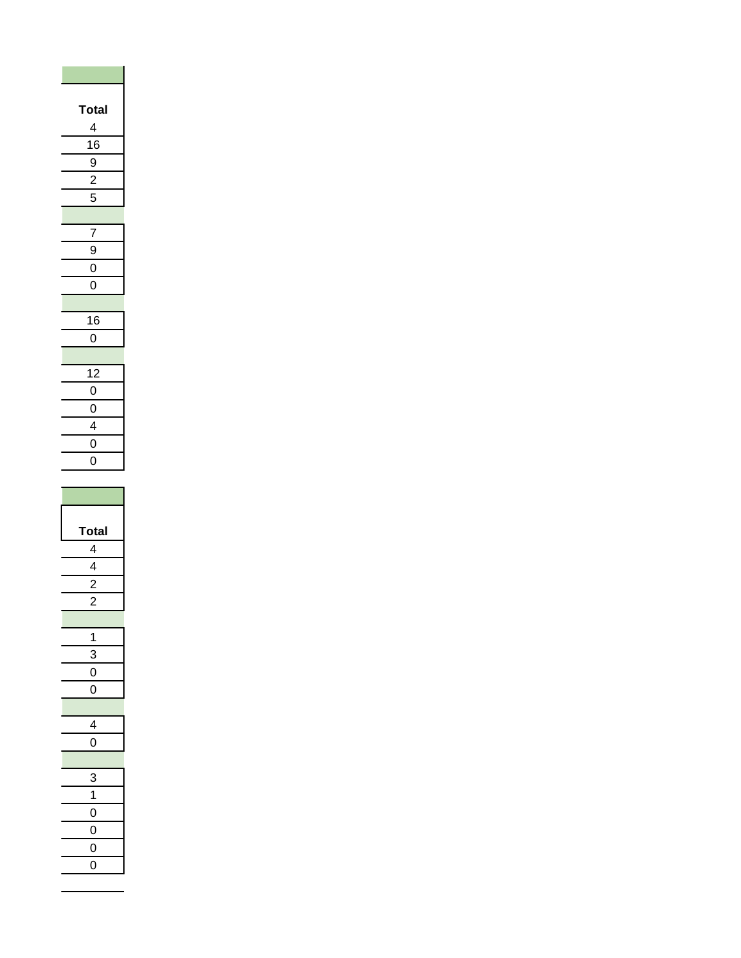| <b>otal</b><br>Ī     |
|----------------------|
| 4                    |
| 16                   |
| 9                    |
| $\overline{2}$       |
| 5                    |
|                      |
| $\frac{1}{2}$        |
| $\frac{9}{1}$        |
| $\frac{0}{2}$        |
| $\overline{0}$       |
|                      |
| $\frac{16}{1}$       |
| $\overline{0}$       |
|                      |
| 12<br>$\overline{0}$ |
| $\overline{0}$       |
|                      |
| $\frac{4}{0}$        |
| $\overline{0}$       |
|                      |
|                      |
|                      |
|                      |
| Total                |
| 4                    |
| 4                    |
|                      |
| $\overline{2}$<br>,  |
|                      |
| 1                    |
| 3                    |
| 0                    |
| 0                    |
|                      |
| 4                    |
| O                    |
|                      |
| 3                    |
| 1                    |
| 0                    |
| $\mathbf 0$          |
| $\mathbf{O}$<br>0    |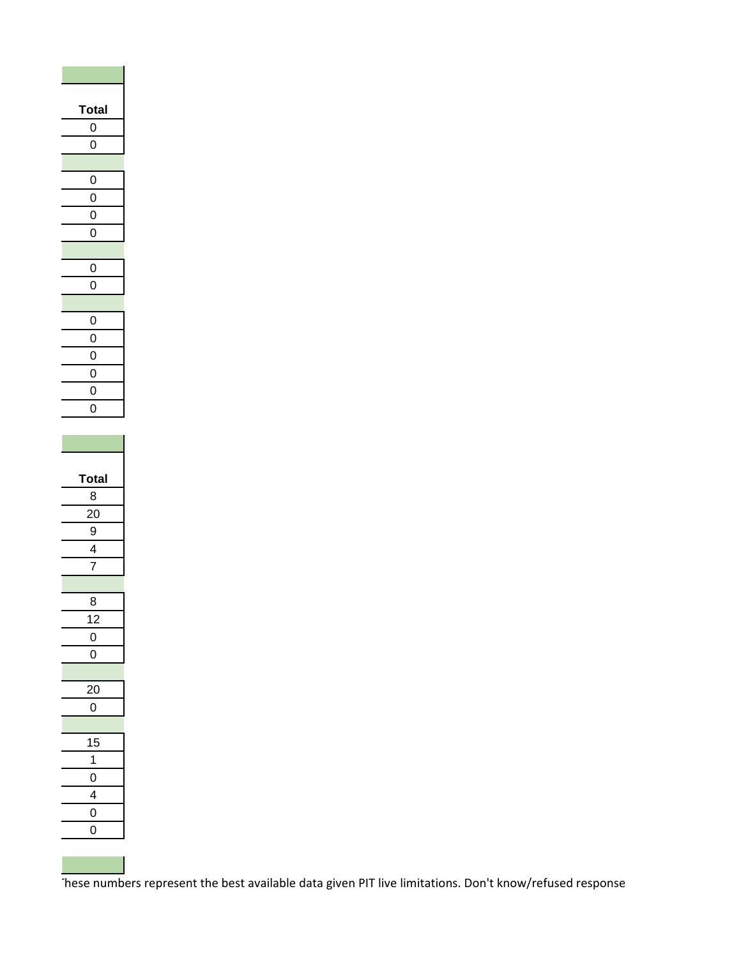| <b>otal</b><br>I    |
|---------------------|
| $\mathbf{0}$        |
| O                   |
|                     |
| 0                   |
| $\overline{0}$      |
| $\mathbf{0}$        |
| $\overline{0}$      |
| 0                   |
| $\overline{0}$      |
|                     |
| 0                   |
| $\overline{0}$      |
| $\mathbf 0$         |
| $\overline{0}$      |
| $\mathbf{0}$        |
| $\overline{0}$      |
|                     |
|                     |
|                     |
|                     |
| otal                |
| 8                   |
| 20                  |
| 9                   |
| 4                   |
| 7                   |
|                     |
| 8                   |
| $\overline{12}$     |
| 0                   |
| 0                   |
|                     |
| 20                  |
| 0                   |
|                     |
| 15                  |
| 1                   |
| 0                   |
| 4                   |
| 0<br>$\overline{0}$ |

These numbers represent the best available data given PIT live limitations. Don't know/refused response